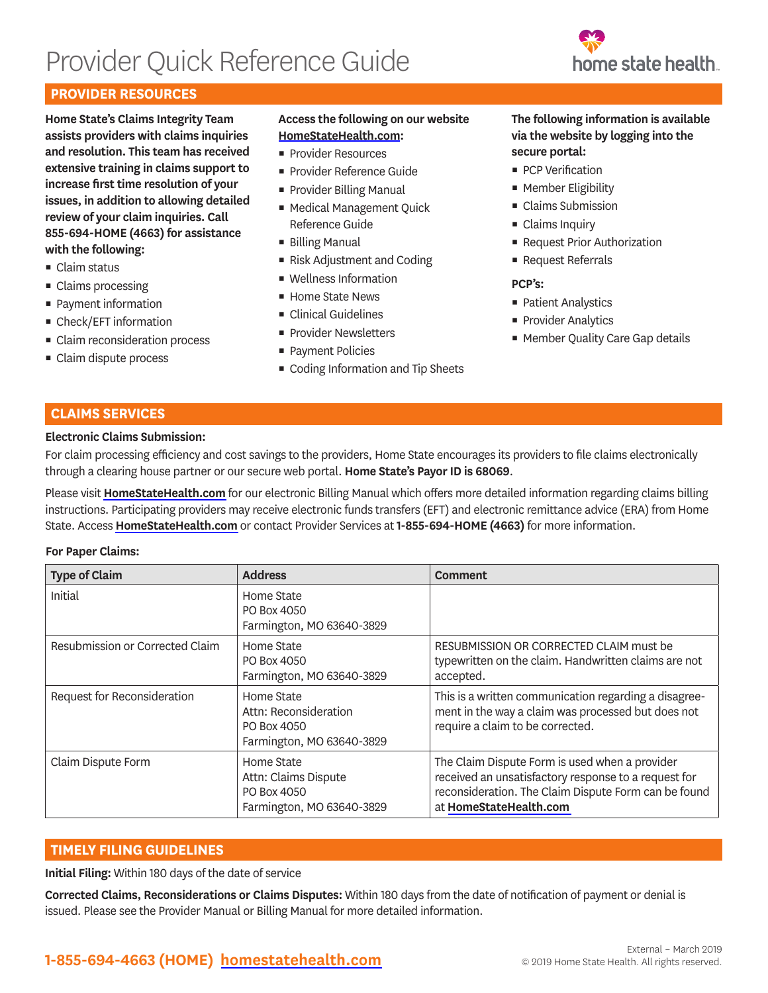# Provider Quick Reference Guide



## **PROVIDER RESOURCES**

**Home State's Claims Integrity Team assists providers with claims inquiries and resolution. This team has received extensive training in claims support to increase first time resolution of your issues, in addition to allowing detailed review of your claim inquiries. Call 855-694-HOME (4663) for assistance with the following:**

- Claim status
- Claims processing
- Payment information
- Check/EFT information
- **Exercise** Claim reconsideration process
- Claim dispute process

#### **Access the following on our website [HomeStateHealth.com](http://www.HomeStateHealth.com):**

- **Provider Resources**
- **Provider Reference Guide**
- **Provider Billing Manual**
- Medical Management Quick Reference Guide
- **Billing Manual**
- Risk Adjustment and Coding
- Wellness Information
- Home State News
- Clinical Guidelines
- **Provider Newsletters**
- Payment Policies
- Coding Information and Tip Sheets

#### **The following information is available via the website by logging into the secure portal:**

- PCP Verification
- Member Eligibility
- **Example 2** Claims Submission
- Claims Inquiry
- Request Prior Authorization
- Request Referrals

#### **PCP's:**

- Patient Analystics
- **Provider Analytics**
- Member Quality Care Gap details

## **CLAIMS SERVICES**

#### **Electronic Claims Submission:**

For claim processing efficiency and cost savings to the providers, Home State encourages its providers to file claims electronically through a clearing house partner or our secure web portal. **Home State's Payor ID is 68069**.

Please visit **[HomeStateHealth.com](http://www.HomeStateHealth.com)** for our electronic Billing Manual which offers more detailed information regarding claims billing instructions. Participating providers may receive electronic funds transfers (EFT) and electronic remittance advice (ERA) from Home State. Access **[HomeStateHealth.com](http://www.HomeStateHealth.com)** or contact Provider Services at **1-855-694-HOME (4663)** for more information.

#### **For Paper Claims:**

| <b>Type of Claim</b>            | <b>Address</b>                                                                  | <b>Comment</b>                                                                                                                                                                           |
|---------------------------------|---------------------------------------------------------------------------------|------------------------------------------------------------------------------------------------------------------------------------------------------------------------------------------|
| Initial                         | Home State<br>PO Box 4050<br>Farmington, MO 63640-3829                          |                                                                                                                                                                                          |
| Resubmission or Corrected Claim | Home State<br>PO Box 4050<br>Farmington, MO 63640-3829                          | RESUBMISSION OR CORRECTED CLAIM must be<br>typewritten on the claim. Handwritten claims are not<br>accepted.                                                                             |
| Request for Reconsideration     | Home State<br>Attn: Reconsideration<br>PO Box 4050<br>Farmington, MO 63640-3829 | This is a written communication regarding a disagree-<br>ment in the way a claim was processed but does not<br>require a claim to be corrected.                                          |
| Claim Dispute Form              | Home State<br>Attn: Claims Dispute<br>PO Box 4050<br>Farmington, MO 63640-3829  | The Claim Dispute Form is used when a provider<br>received an unsatisfactory response to a request for<br>reconsideration. The Claim Dispute Form can be found<br>at HomeStateHealth.com |

## **TIMELY FILING GUIDELINES**

**Initial Filing:** Within 180 days of the date of service

**Corrected Claims, Reconsiderations or Claims Disputes:** Within 180 days from the date of notification of payment or denial is issued. Please see the Provider Manual or Billing Manual for more detailed information.

## **1-855-694-4663 (HOME) [homestatehealth.com](http://www.HomeStateHealth.com)**